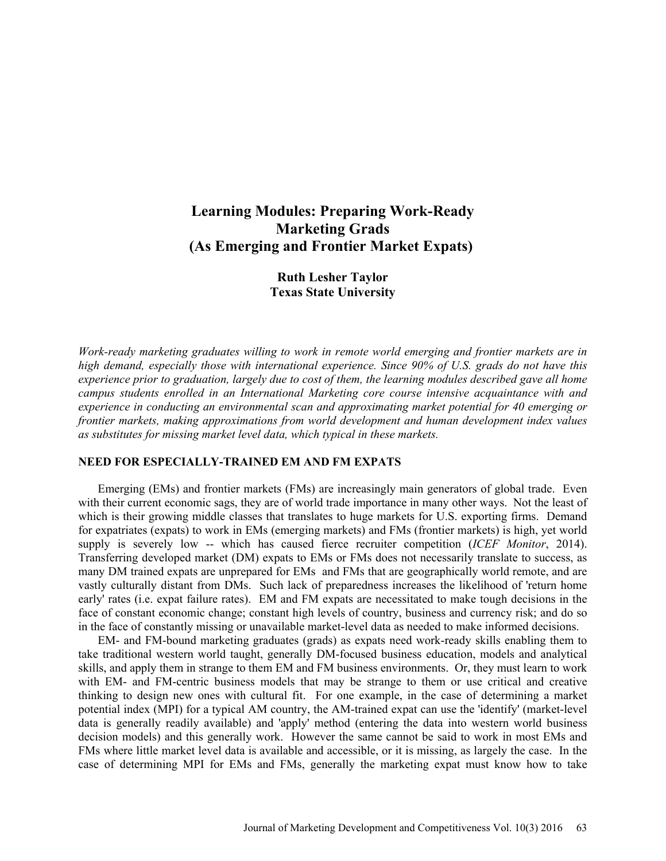# **Learning Modules: Preparing Work-Ready Marketing Grads (As Emerging and Frontier Market Expats)**

# **Ruth Lesher Taylor Texas State University**

*Work-ready marketing graduates willing to work in remote world emerging and frontier markets are in high demand, especially those with international experience. Since 90% of U.S. grads do not have this experience prior to graduation, largely due to cost of them, the learning modules described gave all home campus students enrolled in an International Marketing core course intensive acquaintance with and experience in conducting an environmental scan and approximating market potential for 40 emerging or frontier markets, making approximations from world development and human development index values as substitutes for missing market level data, which typical in these markets.* 

## **NEED FOR ESPECIALLY-TRAINED EM AND FM EXPATS**

Emerging (EMs) and frontier markets (FMs) are increasingly main generators of global trade. Even with their current economic sags, they are of world trade importance in many other ways. Not the least of which is their growing middle classes that translates to huge markets for U.S. exporting firms. Demand for expatriates (expats) to work in EMs (emerging markets) and FMs (frontier markets) is high, yet world supply is severely low -- which has caused fierce recruiter competition (*ICEF Monitor*, 2014). Transferring developed market (DM) expats to EMs or FMs does not necessarily translate to success, as many DM trained expats are unprepared for EMs and FMs that are geographically world remote, and are vastly culturally distant from DMs. Such lack of preparedness increases the likelihood of 'return home early' rates (i.e. expat failure rates). EM and FM expats are necessitated to make tough decisions in the face of constant economic change; constant high levels of country, business and currency risk; and do so in the face of constantly missing or unavailable market-level data as needed to make informed decisions.

EM- and FM-bound marketing graduates (grads) as expats need work-ready skills enabling them to take traditional western world taught, generally DM-focused business education, models and analytical skills, and apply them in strange to them EM and FM business environments. Or, they must learn to work with EM- and FM-centric business models that may be strange to them or use critical and creative thinking to design new ones with cultural fit. For one example, in the case of determining a market potential index (MPI) for a typical AM country, the AM-trained expat can use the 'identify' (market-level data is generally readily available) and 'apply' method (entering the data into western world business decision models) and this generally work. However the same cannot be said to work in most EMs and FMs where little market level data is available and accessible, or it is missing, as largely the case. In the case of determining MPI for EMs and FMs, generally the marketing expat must know how to take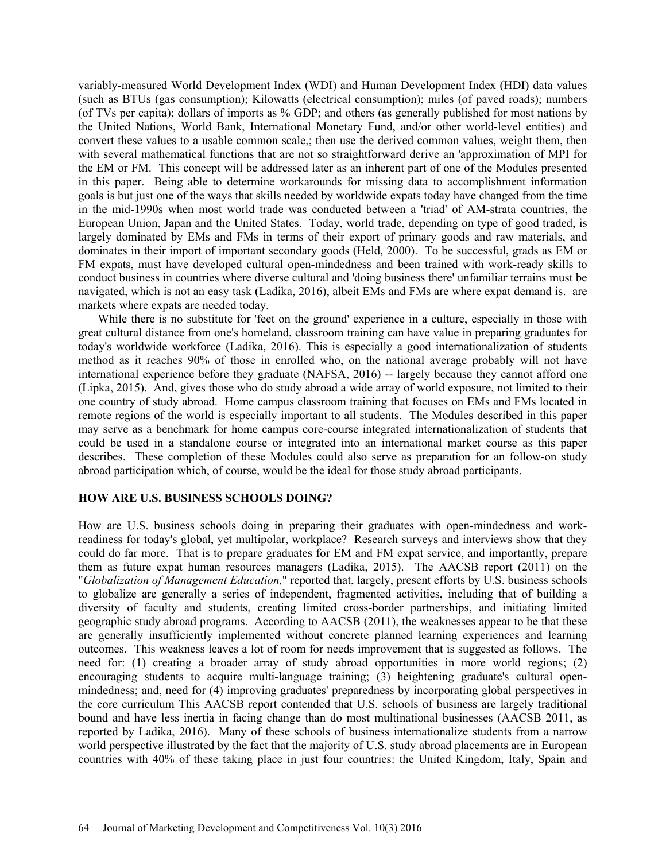variably-measured World Development Index (WDI) and Human Development Index (HDI) data values (such as BTUs (gas consumption); Kilowatts (electrical consumption); miles (of paved roads); numbers (of TVs per capita); dollars of imports as % GDP; and others (as generally published for most nations by the United Nations, World Bank, International Monetary Fund, and/or other world-level entities) and convert these values to a usable common scale,; then use the derived common values, weight them, then with several mathematical functions that are not so straightforward derive an 'approximation of MPI for the EM or FM. This concept will be addressed later as an inherent part of one of the Modules presented in this paper. Being able to determine workarounds for missing data to accomplishment information goals is but just one of the ways that skills needed by worldwide expats today have changed from the time in the mid-1990s when most world trade was conducted between a 'triad' of AM-strata countries, the European Union, Japan and the United States. Today, world trade, depending on type of good traded, is largely dominated by EMs and FMs in terms of their export of primary goods and raw materials, and dominates in their import of important secondary goods (Held, 2000). To be successful, grads as EM or FM expats, must have developed cultural open-mindedness and been trained with work-ready skills to conduct business in countries where diverse cultural and 'doing business there' unfamiliar terrains must be navigated, which is not an easy task (Ladika, 2016), albeit EMs and FMs are where expat demand is. are markets where expats are needed today.

While there is no substitute for 'feet on the ground' experience in a culture, especially in those with great cultural distance from one's homeland, classroom training can have value in preparing graduates for today's worldwide workforce (Ladika, 2016). This is especially a good internationalization of students method as it reaches 90% of those in enrolled who, on the national average probably will not have international experience before they graduate (NAFSA, 2016) -- largely because they cannot afford one (Lipka, 2015). And, gives those who do study abroad a wide array of world exposure, not limited to their one country of study abroad. Home campus classroom training that focuses on EMs and FMs located in remote regions of the world is especially important to all students. The Modules described in this paper may serve as a benchmark for home campus core-course integrated internationalization of students that could be used in a standalone course or integrated into an international market course as this paper describes. These completion of these Modules could also serve as preparation for an follow-on study abroad participation which, of course, would be the ideal for those study abroad participants.

## **HOW ARE U.S. BUSINESS SCHOOLS DOING?**

How are U.S. business schools doing in preparing their graduates with open-mindedness and workreadiness for today's global, yet multipolar, workplace? Research surveys and interviews show that they could do far more. That is to prepare graduates for EM and FM expat service, and importantly, prepare them as future expat human resources managers (Ladika, 2015). The AACSB report (2011) on the "*Globalization of Management Education,*" reported that, largely, present efforts by U.S. business schools to globalize are generally a series of independent, fragmented activities, including that of building a diversity of faculty and students, creating limited cross-border partnerships, and initiating limited geographic study abroad programs. According to AACSB (2011), the weaknesses appear to be that these are generally insufficiently implemented without concrete planned learning experiences and learning outcomes. This weakness leaves a lot of room for needs improvement that is suggested as follows. The need for: (1) creating a broader array of study abroad opportunities in more world regions; (2) encouraging students to acquire multi-language training; (3) heightening graduate's cultural openmindedness; and, need for (4) improving graduates' preparedness by incorporating global perspectives in the core curriculum This AACSB report contended that U.S. schools of business are largely traditional bound and have less inertia in facing change than do most multinational businesses (AACSB 2011, as reported by Ladika, 2016). Many of these schools of business internationalize students from a narrow world perspective illustrated by the fact that the majority of U.S. study abroad placements are in European countries with 40% of these taking place in just four countries: the United Kingdom, Italy, Spain and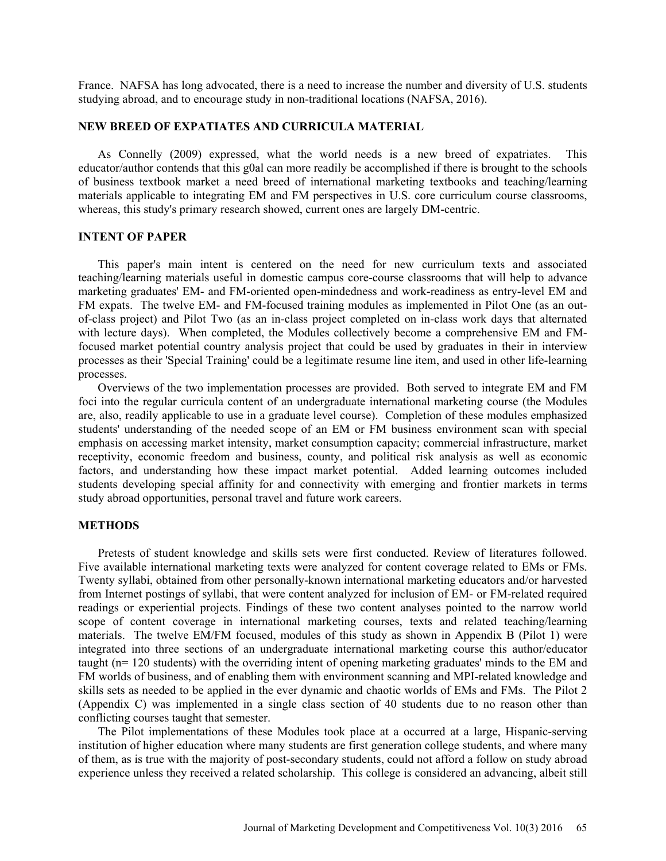France. NAFSA has long advocated, there is a need to increase the number and diversity of U.S. students studying abroad, and to encourage study in non-traditional locations (NAFSA, 2016).

### **NEW BREED OF EXPATIATES AND CURRICULA MATERIAL**

As Connelly (2009) expressed, what the world needs is a new breed of expatriates. This educator/author contends that this g0al can more readily be accomplished if there is brought to the schools of business textbook market a need breed of international marketing textbooks and teaching/learning materials applicable to integrating EM and FM perspectives in U.S. core curriculum course classrooms, whereas, this study's primary research showed, current ones are largely DM-centric.

#### **INTENT OF PAPER**

This paper's main intent is centered on the need for new curriculum texts and associated teaching/learning materials useful in domestic campus core-course classrooms that will help to advance marketing graduates' EM- and FM-oriented open-mindedness and work-readiness as entry-level EM and FM expats. The twelve EM- and FM-focused training modules as implemented in Pilot One (as an outof-class project) and Pilot Two (as an in-class project completed on in-class work days that alternated with lecture days). When completed, the Modules collectively become a comprehensive EM and FMfocused market potential country analysis project that could be used by graduates in their in interview processes as their 'Special Training' could be a legitimate resume line item, and used in other life-learning processes.

Overviews of the two implementation processes are provided. Both served to integrate EM and FM foci into the regular curricula content of an undergraduate international marketing course (the Modules are, also, readily applicable to use in a graduate level course). Completion of these modules emphasized students' understanding of the needed scope of an EM or FM business environment scan with special emphasis on accessing market intensity, market consumption capacity; commercial infrastructure, market receptivity, economic freedom and business, county, and political risk analysis as well as economic factors, and understanding how these impact market potential. Added learning outcomes included students developing special affinity for and connectivity with emerging and frontier markets in terms study abroad opportunities, personal travel and future work careers.

#### **METHODS**

Pretests of student knowledge and skills sets were first conducted. Review of literatures followed. Five available international marketing texts were analyzed for content coverage related to EMs or FMs. Twenty syllabi, obtained from other personally-known international marketing educators and/or harvested from Internet postings of syllabi, that were content analyzed for inclusion of EM- or FM-related required readings or experiential projects. Findings of these two content analyses pointed to the narrow world scope of content coverage in international marketing courses, texts and related teaching/learning materials. The twelve EM/FM focused, modules of this study as shown in Appendix B (Pilot 1) were integrated into three sections of an undergraduate international marketing course this author/educator taught (n= 120 students) with the overriding intent of opening marketing graduates' minds to the EM and FM worlds of business, and of enabling them with environment scanning and MPI-related knowledge and skills sets as needed to be applied in the ever dynamic and chaotic worlds of EMs and FMs. The Pilot 2 (Appendix C) was implemented in a single class section of 40 students due to no reason other than conflicting courses taught that semester.

The Pilot implementations of these Modules took place at a occurred at a large, Hispanic-serving institution of higher education where many students are first generation college students, and where many of them, as is true with the majority of post-secondary students, could not afford a follow on study abroad experience unless they received a related scholarship. This college is considered an advancing, albeit still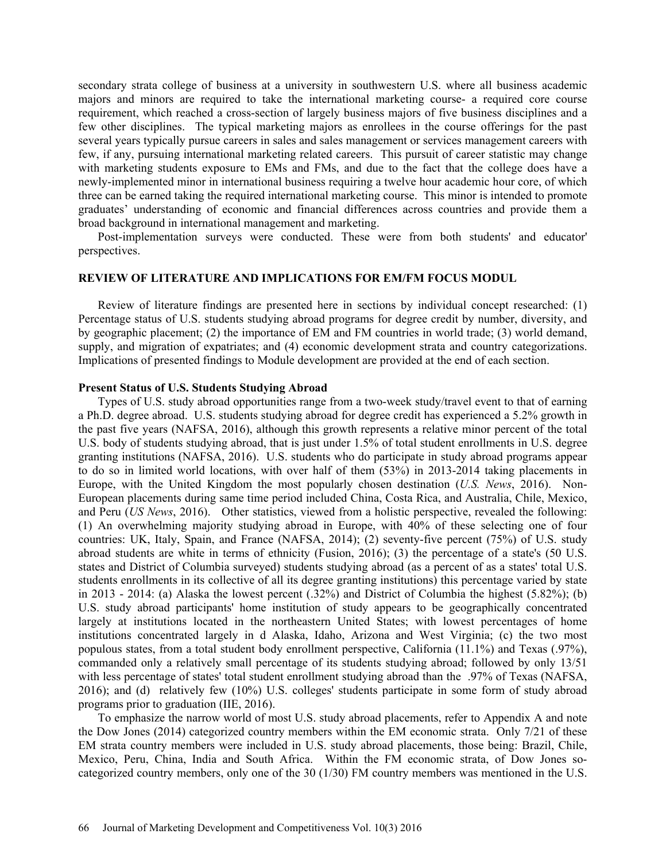secondary strata college of business at a university in southwestern U.S. where all business academic majors and minors are required to take the international marketing course- a required core course requirement, which reached a cross-section of largely business majors of five business disciplines and a few other disciplines. The typical marketing majors as enrollees in the course offerings for the past several years typically pursue careers in sales and sales management or services management careers with few, if any, pursuing international marketing related careers. This pursuit of career statistic may change with marketing students exposure to EMs and FMs, and due to the fact that the college does have a newly-implemented minor in international business requiring a twelve hour academic hour core, of which three can be earned taking the required international marketing course. This minor is intended to promote graduates' understanding of economic and financial differences across countries and provide them a broad background in international management and marketing.

Post-implementation surveys were conducted. These were from both students' and educator' perspectives.

#### **REVIEW OF LITERATURE AND IMPLICATIONS FOR EM/FM FOCUS MODUL**

Review of literature findings are presented here in sections by individual concept researched: (1) Percentage status of U.S. students studying abroad programs for degree credit by number, diversity, and by geographic placement; (2) the importance of EM and FM countries in world trade; (3) world demand, supply, and migration of expatriates; and (4) economic development strata and country categorizations. Implications of presented findings to Module development are provided at the end of each section.

# **Present Status of U.S. Students Studying Abroad**

Types of U.S. study abroad opportunities range from a two-week study/travel event to that of earning a Ph.D. degree abroad. U.S. students studying abroad for degree credit has experienced a 5.2% growth in the past five years (NAFSA, 2016), although this growth represents a relative minor percent of the total U.S. body of students studying abroad, that is just under 1.5% of total student enrollments in U.S. degree granting institutions (NAFSA, 2016). U.S. students who do participate in study abroad programs appear to do so in limited world locations, with over half of them (53%) in 2013-2014 taking placements in Europe, with the United Kingdom the most popularly chosen destination (*U.S. News*, 2016). Non-European placements during same time period included China, Costa Rica, and Australia, Chile, Mexico, and Peru (*US News*, 2016). Other statistics, viewed from a holistic perspective, revealed the following: (1) An overwhelming majority studying abroad in Europe, with 40% of these selecting one of four countries: UK, Italy, Spain, and France (NAFSA, 2014); (2) seventy-five percent (75%) of U.S. study abroad students are white in terms of ethnicity (Fusion, 2016); (3) the percentage of a state's (50 U.S. states and District of Columbia surveyed) students studying abroad (as a percent of as a states' total U.S. students enrollments in its collective of all its degree granting institutions) this percentage varied by state in 2013 - 2014: (a) Alaska the lowest percent (.32%) and District of Columbia the highest (5.82%); (b) U.S. study abroad participants' home institution of study appears to be geographically concentrated largely at institutions located in the northeastern United States; with lowest percentages of home institutions concentrated largely in d Alaska, Idaho, Arizona and West Virginia; (c) the two most populous states, from a total student body enrollment perspective, California (11.1%) and Texas (.97%), commanded only a relatively small percentage of its students studying abroad; followed by only 13/51 with less percentage of states' total student enrollment studying abroad than the .97% of Texas (NAFSA, 2016); and (d) relatively few (10%) U.S. colleges' students participate in some form of study abroad programs prior to graduation (IIE, 2016).

To emphasize the narrow world of most U.S. study abroad placements, refer to Appendix A and note the Dow Jones (2014) categorized country members within the EM economic strata. Only 7/21 of these EM strata country members were included in U.S. study abroad placements, those being: Brazil, Chile, Mexico, Peru, China, India and South Africa. Within the FM economic strata, of Dow Jones socategorized country members, only one of the 30 (1/30) FM country members was mentioned in the U.S.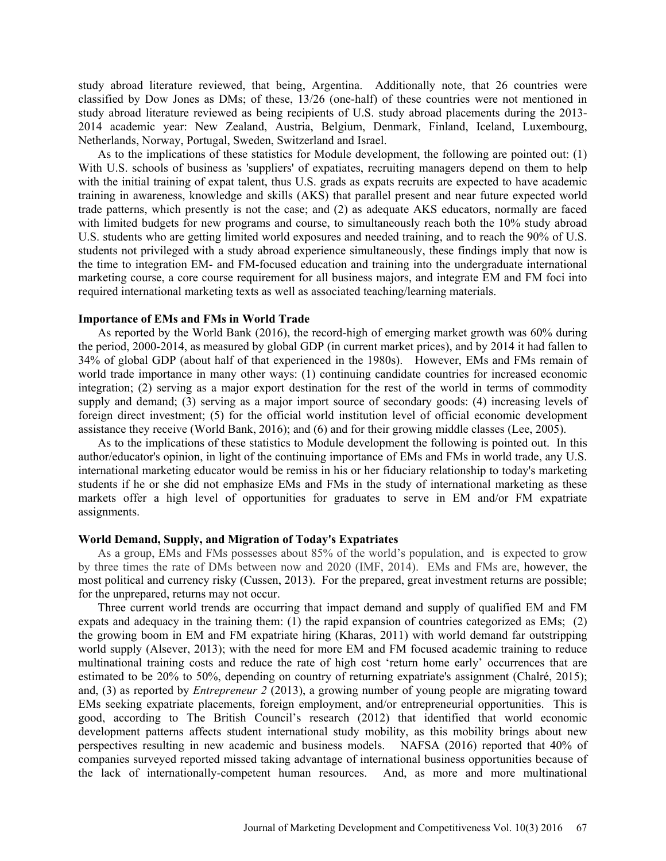study abroad literature reviewed, that being, Argentina. Additionally note, that 26 countries were classified by Dow Jones as DMs; of these, 13/26 (one-half) of these countries were not mentioned in study abroad literature reviewed as being recipients of U.S. study abroad placements during the 2013- 2014 academic year: New Zealand, Austria, Belgium, Denmark, Finland, Iceland, Luxembourg, Netherlands, Norway, Portugal, Sweden, Switzerland and Israel.

As to the implications of these statistics for Module development, the following are pointed out: (1) With U.S. schools of business as 'suppliers' of expatiates, recruiting managers depend on them to help with the initial training of expat talent, thus U.S. grads as expats recruits are expected to have academic training in awareness, knowledge and skills (AKS) that parallel present and near future expected world trade patterns, which presently is not the case; and (2) as adequate AKS educators, normally are faced with limited budgets for new programs and course, to simultaneously reach both the 10% study abroad U.S. students who are getting limited world exposures and needed training, and to reach the 90% of U.S. students not privileged with a study abroad experience simultaneously, these findings imply that now is the time to integration EM- and FM-focused education and training into the undergraduate international marketing course, a core course requirement for all business majors, and integrate EM and FM foci into required international marketing texts as well as associated teaching/learning materials.

#### **Importance of EMs and FMs in World Trade**

As reported by the World Bank (2016), the record-high of emerging market growth was 60% during the period, 2000-2014, as measured by global GDP (in current market prices), and by 2014 it had fallen to 34% of global GDP (about half of that experienced in the 1980s). However, EMs and FMs remain of world trade importance in many other ways: (1) continuing candidate countries for increased economic integration; (2) serving as a major export destination for the rest of the world in terms of commodity supply and demand; (3) serving as a major import source of secondary goods: (4) increasing levels of foreign direct investment; (5) for the official world institution level of official economic development assistance they receive (World Bank, 2016); and (6) and for their growing middle classes (Lee, 2005).

As to the implications of these statistics to Module development the following is pointed out. In this author/educator's opinion, in light of the continuing importance of EMs and FMs in world trade, any U.S. international marketing educator would be remiss in his or her fiduciary relationship to today's marketing students if he or she did not emphasize EMs and FMs in the study of international marketing as these markets offer a high level of opportunities for graduates to serve in EM and/or FM expatriate assignments.

#### **World Demand, Supply, and Migration of Today's Expatriates**

As a group, EMs and FMs possesses about 85% of the world's population, and is expected to grow by three times the rate of DMs between now and 2020 (IMF, 2014). EMs and FMs are, however, the most political and currency risky (Cussen, 2013). For the prepared, great investment returns are possible; for the unprepared, returns may not occur.

Three current world trends are occurring that impact demand and supply of qualified EM and FM expats and adequacy in the training them: (1) the rapid expansion of countries categorized as EMs; (2) the growing boom in EM and FM expatriate hiring (Kharas, 2011) with world demand far outstripping world supply (Alsever, 2013); with the need for more EM and FM focused academic training to reduce multinational training costs and reduce the rate of high cost 'return home early' occurrences that are estimated to be 20% to 50%, depending on country of returning expatriate's assignment (Chalré, 2015); and, (3) as reported by *Entrepreneur 2* (2013), a growing number of young people are migrating toward EMs seeking expatriate placements, foreign employment, and/or entrepreneurial opportunities. This is good, according to The British Council's research (2012) that identified that world economic development patterns affects student international study mobility, as this mobility brings about new perspectives resulting in new academic and business models. NAFSA (2016) reported that 40% of companies surveyed reported missed taking advantage of international business opportunities because of the lack of internationally-competent human resources. And, as more and more multinational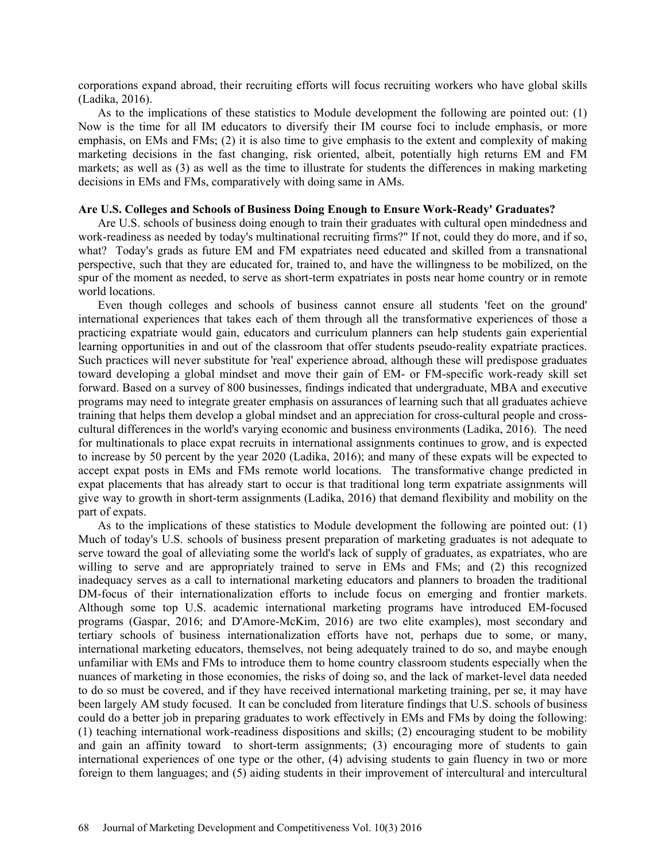corporations expand abroad, their recruiting efforts will focus recruiting workers who have global skills (Ladika, 2016).

As to the implications of these statistics to Module development the following are pointed out: (1) Now is the time for all IM educators to diversify their IM course foci to include emphasis, or more emphasis, on EMs and FMs; (2) it is also time to give emphasis to the extent and complexity of making marketing decisions in the fast changing, risk oriented, albeit, potentially high returns EM and FM markets; as well as (3) as well as the time to illustrate for students the differences in making marketing decisions in EMs and FMs, comparatively with doing same in AMs.

# **Are U.S. Colleges and Schools of Business Doing Enough to Ensure Work-Ready' Graduates?**

Are U.S. schools of business doing enough to train their graduates with cultural open mindedness and work-readiness as needed by today's multinational recruiting firms?" If not, could they do more, and if so, what? Today's grads as future EM and FM expatriates need educated and skilled from a transnational perspective, such that they are educated for, trained to, and have the willingness to be mobilized, on the spur of the moment as needed, to serve as short-term expatriates in posts near home country or in remote world locations.

Even though colleges and schools of business cannot ensure all students 'feet on the ground' international experiences that takes each of them through all the transformative experiences of those a practicing expatriate would gain, educators and curriculum planners can help students gain experiential learning opportunities in and out of the classroom that offer students pseudo-reality expatriate practices. Such practices will never substitute for 'real' experience abroad, although these will predispose graduates toward developing a global mindset and move their gain of EM- or FM-specific work-ready skill set forward. Based on a survey of 800 businesses, findings indicated that undergraduate, MBA and executive programs may need to integrate greater emphasis on assurances of learning such that all graduates achieve training that helps them develop a global mindset and an appreciation for cross-cultural people and crosscultural differences in the world's varying economic and business environments (Ladika, 2016). The need for multinationals to place expat recruits in international assignments continues to grow, and is expected to increase by 50 percent by the year 2020 (Ladika, 2016); and many of these expats will be expected to accept expat posts in EMs and FMs remote world locations. The transformative change predicted in expat placements that has already start to occur is that traditional long term expatriate assignments will give way to growth in short-term assignments (Ladika, 2016) that demand flexibility and mobility on the part of expats.

As to the implications of these statistics to Module development the following are pointed out: (1) Much of today's U.S. schools of business present preparation of marketing graduates is not adequate to serve toward the goal of alleviating some the world's lack of supply of graduates, as expatriates, who are willing to serve and are appropriately trained to serve in EMs and FMs; and (2) this recognized inadequacy serves as a call to international marketing educators and planners to broaden the traditional DM-focus of their internationalization efforts to include focus on emerging and frontier markets. Although some top U.S. academic international marketing programs have introduced EM-focused programs (Gaspar, 2016; and D'Amore-McKim, 2016) are two elite examples), most secondary and tertiary schools of business internationalization efforts have not, perhaps due to some, or many, international marketing educators, themselves, not being adequately trained to do so, and maybe enough unfamiliar with EMs and FMs to introduce them to home country classroom students especially when the nuances of marketing in those economies, the risks of doing so, and the lack of market-level data needed to do so must be covered, and if they have received international marketing training, per se, it may have been largely AM study focused. It can be concluded from literature findings that U.S. schools of business could do a better job in preparing graduates to work effectively in EMs and FMs by doing the following: (1) teaching international work-readiness dispositions and skills; (2) encouraging student to be mobility and gain an affinity toward to short-term assignments; (3) encouraging more of students to gain international experiences of one type or the other, (4) advising students to gain fluency in two or more foreign to them languages; and (5) aiding students in their improvement of intercultural and intercultural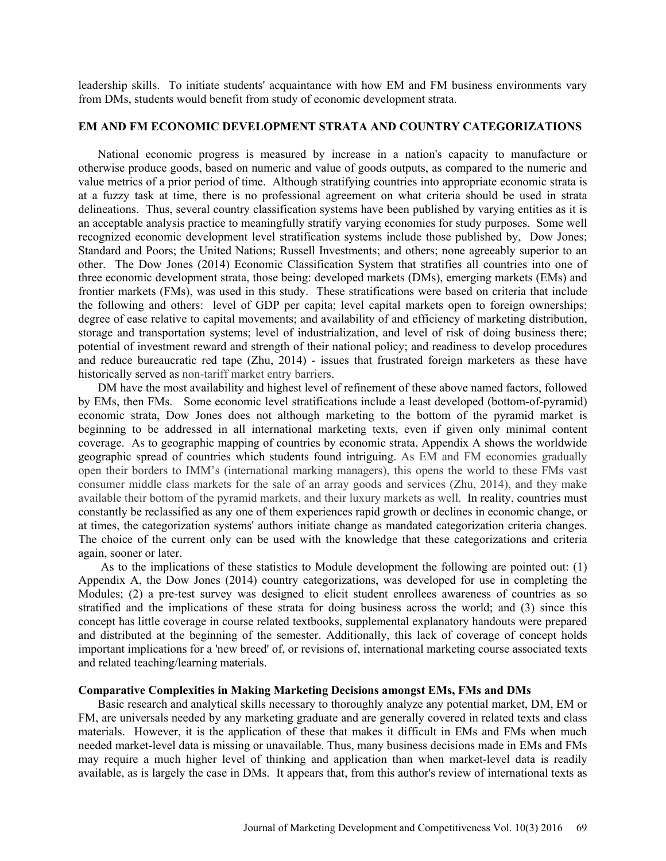leadership skills. To initiate students' acquaintance with how EM and FM business environments vary from DMs, students would benefit from study of economic development strata.

### **EM AND FM ECONOMIC DEVELOPMENT STRATA AND COUNTRY CATEGORIZATIONS**

National economic progress is measured by increase in a nation's capacity to manufacture or otherwise produce goods, based on numeric and value of goods outputs, as compared to the numeric and value metrics of a prior period of time. Although stratifying countries into appropriate economic strata is at a fuzzy task at time, there is no professional agreement on what criteria should be used in strata delineations. Thus, several country classification systems have been published by varying entities as it is an acceptable analysis practice to meaningfully stratify varying economies for study purposes. Some well recognized economic development level stratification systems include those published by, Dow Jones; Standard and Poors; the United Nations; Russell Investments; and others; none agreeably superior to an other. The Dow Jones (2014) Economic Classification System that stratifies all countries into one of three economic development strata, those being: developed markets (DMs), emerging markets (EMs) and frontier markets (FMs), was used in this study. These stratifications were based on criteria that include the following and others: level of GDP per capita; level capital markets open to foreign ownerships; degree of ease relative to capital movements; and availability of and efficiency of marketing distribution, storage and transportation systems; level of industrialization, and level of risk of doing business there; potential of investment reward and strength of their national policy; and readiness to develop procedures and reduce bureaucratic red tape (Zhu, 2014) - issues that frustrated foreign marketers as these have historically served as non-tariff market entry barriers.

DM have the most availability and highest level of refinement of these above named factors, followed by EMs, then FMs. Some economic level stratifications include a least developed (bottom-of-pyramid) economic strata, Dow Jones does not although marketing to the bottom of the pyramid market is beginning to be addressed in all international marketing texts, even if given only minimal content coverage. As to geographic mapping of countries by economic strata, Appendix A shows the worldwide geographic spread of countries which students found intriguing. As EM and FM economies gradually open their borders to IMM's (international marking managers), this opens the world to these FMs vast consumer middle class markets for the sale of an array goods and services (Zhu, 2014), and they make available their bottom of the pyramid markets, and their luxury markets as well. In reality, countries must constantly be reclassified as any one of them experiences rapid growth or declines in economic change, or at times, the categorization systems' authors initiate change as mandated categorization criteria changes. The choice of the current only can be used with the knowledge that these categorizations and criteria again, sooner or later.

 As to the implications of these statistics to Module development the following are pointed out: (1) Appendix A, the Dow Jones (2014) country categorizations, was developed for use in completing the Modules; (2) a pre-test survey was designed to elicit student enrollees awareness of countries as so stratified and the implications of these strata for doing business across the world; and (3) since this concept has little coverage in course related textbooks, supplemental explanatory handouts were prepared and distributed at the beginning of the semester. Additionally, this lack of coverage of concept holds important implications for a 'new breed' of, or revisions of, international marketing course associated texts and related teaching/learning materials.

#### **Comparative Complexities in Making Marketing Decisions amongst EMs, FMs and DMs**

Basic research and analytical skills necessary to thoroughly analyze any potential market, DM, EM or FM, are universals needed by any marketing graduate and are generally covered in related texts and class materials. However, it is the application of these that makes it difficult in EMs and FMs when much needed market-level data is missing or unavailable. Thus, many business decisions made in EMs and FMs may require a much higher level of thinking and application than when market-level data is readily available, as is largely the case in DMs. It appears that, from this author's review of international texts as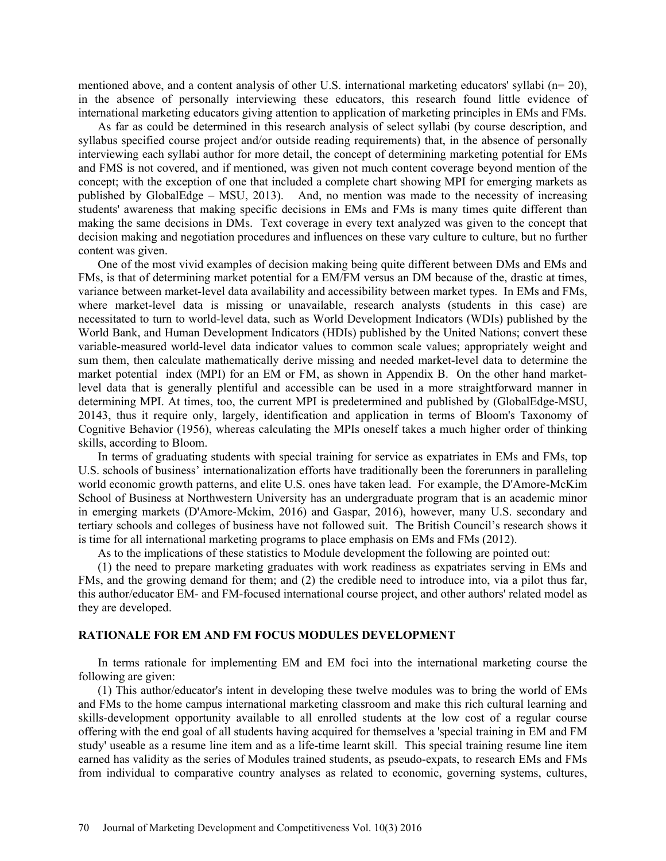mentioned above, and a content analysis of other U.S. international marketing educators' syllabi (n= 20), in the absence of personally interviewing these educators, this research found little evidence of international marketing educators giving attention to application of marketing principles in EMs and FMs.

As far as could be determined in this research analysis of select syllabi (by course description, and syllabus specified course project and/or outside reading requirements) that, in the absence of personally interviewing each syllabi author for more detail, the concept of determining marketing potential for EMs and FMS is not covered, and if mentioned, was given not much content coverage beyond mention of the concept; with the exception of one that included a complete chart showing MPI for emerging markets as published by GlobalEdge – MSU, 2013). And, no mention was made to the necessity of increasing students' awareness that making specific decisions in EMs and FMs is many times quite different than making the same decisions in DMs. Text coverage in every text analyzed was given to the concept that decision making and negotiation procedures and influences on these vary culture to culture, but no further content was given.

One of the most vivid examples of decision making being quite different between DMs and EMs and FMs, is that of determining market potential for a EM/FM versus an DM because of the, drastic at times, variance between market-level data availability and accessibility between market types. In EMs and FMs, where market-level data is missing or unavailable, research analysts (students in this case) are necessitated to turn to world-level data, such as World Development Indicators (WDIs) published by the World Bank, and Human Development Indicators (HDIs) published by the United Nations; convert these variable-measured world-level data indicator values to common scale values; appropriately weight and sum them, then calculate mathematically derive missing and needed market-level data to determine the market potential index (MPI) for an EM or FM, as shown in Appendix B. On the other hand marketlevel data that is generally plentiful and accessible can be used in a more straightforward manner in determining MPI. At times, too, the current MPI is predetermined and published by (GlobalEdge-MSU, 20143, thus it require only, largely, identification and application in terms of Bloom's Taxonomy of Cognitive Behavior (1956), whereas calculating the MPIs oneself takes a much higher order of thinking skills, according to Bloom.

In terms of graduating students with special training for service as expatriates in EMs and FMs, top U.S. schools of business' internationalization efforts have traditionally been the forerunners in paralleling world economic growth patterns, and elite U.S. ones have taken lead. For example, the D'Amore-McKim School of Business at Northwestern University has an undergraduate program that is an academic minor in emerging markets (D'Amore-Mckim, 2016) and Gaspar, 2016), however, many U.S. secondary and tertiary schools and colleges of business have not followed suit. The British Council's research shows it is time for all international marketing programs to place emphasis on EMs and FMs (2012).

As to the implications of these statistics to Module development the following are pointed out:

(1) the need to prepare marketing graduates with work readiness as expatriates serving in EMs and FMs, and the growing demand for them; and (2) the credible need to introduce into, via a pilot thus far, this author/educator EM- and FM-focused international course project, and other authors' related model as they are developed.

## **RATIONALE FOR EM AND FM FOCUS MODULES DEVELOPMENT**

In terms rationale for implementing EM and EM foci into the international marketing course the following are given:

(1) This author/educator's intent in developing these twelve modules was to bring the world of EMs and FMs to the home campus international marketing classroom and make this rich cultural learning and skills-development opportunity available to all enrolled students at the low cost of a regular course offering with the end goal of all students having acquired for themselves a 'special training in EM and FM study' useable as a resume line item and as a life-time learnt skill. This special training resume line item earned has validity as the series of Modules trained students, as pseudo-expats, to research EMs and FMs from individual to comparative country analyses as related to economic, governing systems, cultures,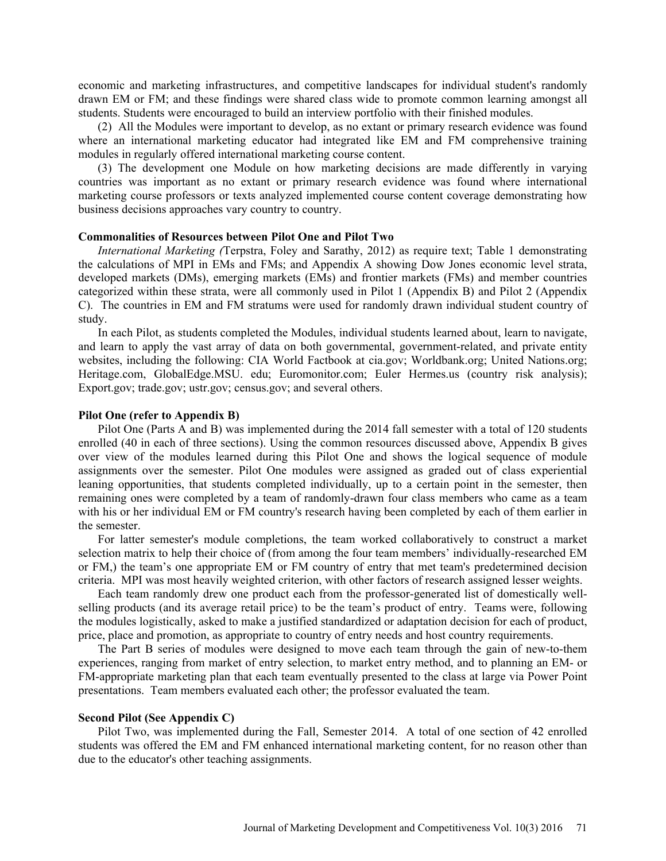economic and marketing infrastructures, and competitive landscapes for individual student's randomly drawn EM or FM; and these findings were shared class wide to promote common learning amongst all students. Students were encouraged to build an interview portfolio with their finished modules.

(2) All the Modules were important to develop, as no extant or primary research evidence was found where an international marketing educator had integrated like EM and FM comprehensive training modules in regularly offered international marketing course content.

(3) The development one Module on how marketing decisions are made differently in varying countries was important as no extant or primary research evidence was found where international marketing course professors or texts analyzed implemented course content coverage demonstrating how business decisions approaches vary country to country.

#### **Commonalities of Resources between Pilot One and Pilot Two**

*International Marketing (*Terpstra, Foley and Sarathy, 2012) as require text; Table 1 demonstrating the calculations of MPI in EMs and FMs; and Appendix A showing Dow Jones economic level strata, developed markets (DMs), emerging markets (EMs) and frontier markets (FMs) and member countries categorized within these strata, were all commonly used in Pilot 1 (Appendix B) and Pilot 2 (Appendix C). The countries in EM and FM stratums were used for randomly drawn individual student country of study.

In each Pilot, as students completed the Modules, individual students learned about, learn to navigate, and learn to apply the vast array of data on both governmental, government-related, and private entity websites, including the following: CIA World Factbook at cia.gov; Worldbank.org; United Nations.org; Heritage.com, GlobalEdge.MSU. edu; Euromonitor.com; Euler Hermes.us (country risk analysis); Export.gov; trade.gov; ustr.gov; census.gov; and several others.

#### **Pilot One (refer to Appendix B)**

Pilot One (Parts A and B) was implemented during the 2014 fall semester with a total of 120 students enrolled (40 in each of three sections). Using the common resources discussed above, Appendix B gives over view of the modules learned during this Pilot One and shows the logical sequence of module assignments over the semester. Pilot One modules were assigned as graded out of class experiential leaning opportunities, that students completed individually, up to a certain point in the semester, then remaining ones were completed by a team of randomly-drawn four class members who came as a team with his or her individual EM or FM country's research having been completed by each of them earlier in the semester.

For latter semester's module completions, the team worked collaboratively to construct a market selection matrix to help their choice of (from among the four team members' individually-researched EM or FM,) the team's one appropriate EM or FM country of entry that met team's predetermined decision criteria. MPI was most heavily weighted criterion, with other factors of research assigned lesser weights.

Each team randomly drew one product each from the professor-generated list of domestically wellselling products (and its average retail price) to be the team's product of entry. Teams were, following the modules logistically, asked to make a justified standardized or adaptation decision for each of product, price, place and promotion, as appropriate to country of entry needs and host country requirements.

The Part B series of modules were designed to move each team through the gain of new-to-them experiences, ranging from market of entry selection, to market entry method, and to planning an EM- or FM-appropriate marketing plan that each team eventually presented to the class at large via Power Point presentations. Team members evaluated each other; the professor evaluated the team.

#### **Second Pilot (See Appendix C)**

Pilot Two, was implemented during the Fall, Semester 2014. A total of one section of 42 enrolled students was offered the EM and FM enhanced international marketing content, for no reason other than due to the educator's other teaching assignments.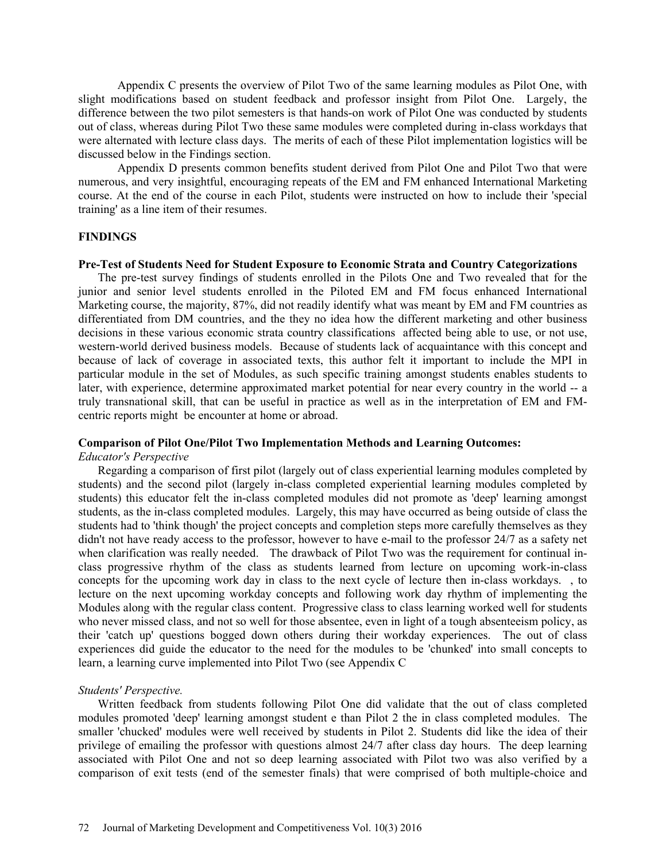Appendix C presents the overview of Pilot Two of the same learning modules as Pilot One, with slight modifications based on student feedback and professor insight from Pilot One. Largely, the difference between the two pilot semesters is that hands-on work of Pilot One was conducted by students out of class, whereas during Pilot Two these same modules were completed during in-class workdays that were alternated with lecture class days. The merits of each of these Pilot implementation logistics will be discussed below in the Findings section.

 Appendix D presents common benefits student derived from Pilot One and Pilot Two that were numerous, and very insightful, encouraging repeats of the EM and FM enhanced International Marketing course. At the end of the course in each Pilot, students were instructed on how to include their 'special training' as a line item of their resumes.

#### **FINDINGS**

#### **Pre-Test of Students Need for Student Exposure to Economic Strata and Country Categorizations**

The pre-test survey findings of students enrolled in the Pilots One and Two revealed that for the junior and senior level students enrolled in the Piloted EM and FM focus enhanced International Marketing course, the majority, 87%, did not readily identify what was meant by EM and FM countries as differentiated from DM countries, and the they no idea how the different marketing and other business decisions in these various economic strata country classifications affected being able to use, or not use, western-world derived business models. Because of students lack of acquaintance with this concept and because of lack of coverage in associated texts, this author felt it important to include the MPI in particular module in the set of Modules, as such specific training amongst students enables students to later, with experience, determine approximated market potential for near every country in the world -- a truly transnational skill, that can be useful in practice as well as in the interpretation of EM and FMcentric reports might be encounter at home or abroad.

# **Comparison of Pilot One/Pilot Two Implementation Methods and Learning Outcomes:**

#### *Educator's Perspective*

Regarding a comparison of first pilot (largely out of class experiential learning modules completed by students) and the second pilot (largely in-class completed experiential learning modules completed by students) this educator felt the in-class completed modules did not promote as 'deep' learning amongst students, as the in-class completed modules. Largely, this may have occurred as being outside of class the students had to 'think though' the project concepts and completion steps more carefully themselves as they didn't not have ready access to the professor, however to have e-mail to the professor 24/7 as a safety net when clarification was really needed. The drawback of Pilot Two was the requirement for continual inclass progressive rhythm of the class as students learned from lecture on upcoming work-in-class concepts for the upcoming work day in class to the next cycle of lecture then in-class workdays. , to lecture on the next upcoming workday concepts and following work day rhythm of implementing the Modules along with the regular class content. Progressive class to class learning worked well for students who never missed class, and not so well for those absentee, even in light of a tough absenteeism policy, as their 'catch up' questions bogged down others during their workday experiences. The out of class experiences did guide the educator to the need for the modules to be 'chunked' into small concepts to learn, a learning curve implemented into Pilot Two (see Appendix C

#### *Students' Perspective.*

Written feedback from students following Pilot One did validate that the out of class completed modules promoted 'deep' learning amongst student e than Pilot 2 the in class completed modules. The smaller 'chucked' modules were well received by students in Pilot 2. Students did like the idea of their privilege of emailing the professor with questions almost 24/7 after class day hours. The deep learning associated with Pilot One and not so deep learning associated with Pilot two was also verified by a comparison of exit tests (end of the semester finals) that were comprised of both multiple-choice and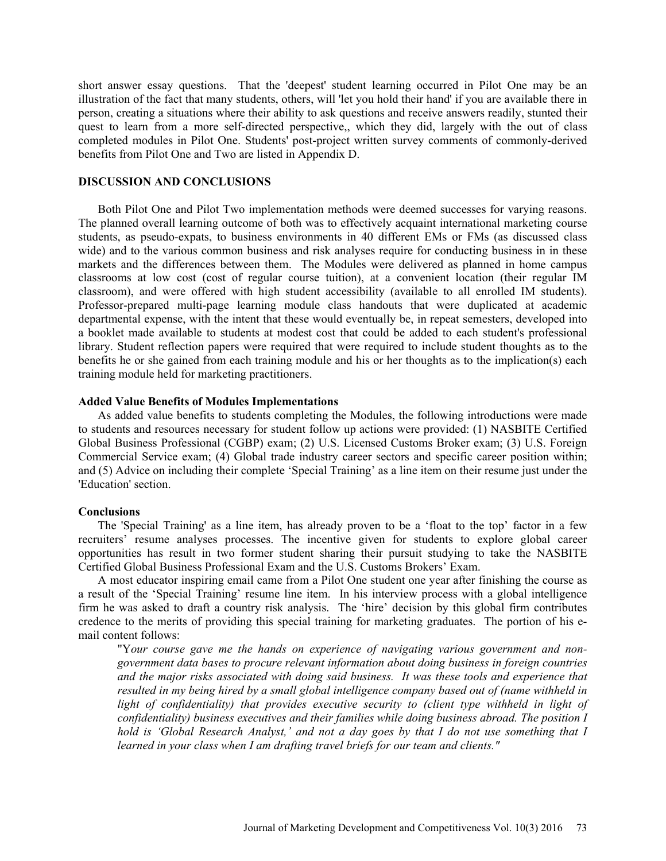short answer essay questions. That the 'deepest' student learning occurred in Pilot One may be an illustration of the fact that many students, others, will 'let you hold their hand' if you are available there in person, creating a situations where their ability to ask questions and receive answers readily, stunted their quest to learn from a more self-directed perspective,, which they did, largely with the out of class completed modules in Pilot One. Students' post-project written survey comments of commonly-derived benefits from Pilot One and Two are listed in Appendix D.

## **DISCUSSION AND CONCLUSIONS**

Both Pilot One and Pilot Two implementation methods were deemed successes for varying reasons. The planned overall learning outcome of both was to effectively acquaint international marketing course students, as pseudo-expats, to business environments in 40 different EMs or FMs (as discussed class wide) and to the various common business and risk analyses require for conducting business in in these markets and the differences between them. The Modules were delivered as planned in home campus classrooms at low cost (cost of regular course tuition), at a convenient location (their regular IM classroom), and were offered with high student accessibility (available to all enrolled IM students). Professor-prepared multi-page learning module class handouts that were duplicated at academic departmental expense, with the intent that these would eventually be, in repeat semesters, developed into a booklet made available to students at modest cost that could be added to each student's professional library. Student reflection papers were required that were required to include student thoughts as to the benefits he or she gained from each training module and his or her thoughts as to the implication(s) each training module held for marketing practitioners.

#### **Added Value Benefits of Modules Implementations**

As added value benefits to students completing the Modules, the following introductions were made to students and resources necessary for student follow up actions were provided: (1) NASBITE Certified Global Business Professional (CGBP) exam; (2) U.S. Licensed Customs Broker exam; (3) U.S. Foreign Commercial Service exam; (4) Global trade industry career sectors and specific career position within; and (5) Advice on including their complete 'Special Training' as a line item on their resume just under the 'Education' section.

#### **Conclusions**

The 'Special Training' as a line item, has already proven to be a 'float to the top' factor in a few recruiters' resume analyses processes. The incentive given for students to explore global career opportunities has result in two former student sharing their pursuit studying to take the NASBITE Certified Global Business Professional Exam and the U.S. Customs Brokers' Exam.

A most educator inspiring email came from a Pilot One student one year after finishing the course as a result of the 'Special Training' resume line item. In his interview process with a global intelligence firm he was asked to draft a country risk analysis. The 'hire' decision by this global firm contributes credence to the merits of providing this special training for marketing graduates. The portion of his email content follows:

"Y*our course gave me the hands on experience of navigating various government and nongovernment data bases to procure relevant information about doing business in foreign countries and the major risks associated with doing said business. It was these tools and experience that resulted in my being hired by a small global intelligence company based out of (name withheld in*  light of confidentiality) that provides executive security to (client type withheld in light of *confidentiality) business executives and their families while doing business abroad. The position I hold is 'Global Research Analyst,' and not a day goes by that I do not use something that I learned in your class when I am drafting travel briefs for our team and clients."*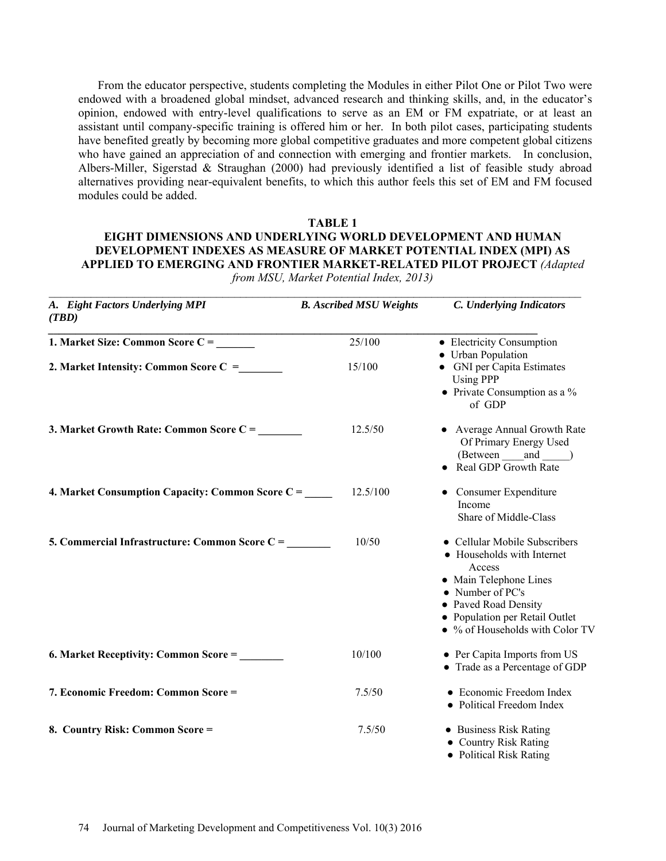From the educator perspective, students completing the Modules in either Pilot One or Pilot Two were endowed with a broadened global mindset, advanced research and thinking skills, and, in the educator's opinion, endowed with entry-level qualifications to serve as an EM or FM expatriate, or at least an assistant until company-specific training is offered him or her. In both pilot cases, participating students have benefited greatly by becoming more global competitive graduates and more competent global citizens who have gained an appreciation of and connection with emerging and frontier markets. In conclusion, Albers-Miller, Sigerstad & Straughan (2000) had previously identified a list of feasible study abroad alternatives providing near-equivalent benefits, to which this author feels this set of EM and FM focused modules could be added.

#### **TABLE 1**

# **EIGHT DIMENSIONS AND UNDERLYING WORLD DEVELOPMENT AND HUMAN DEVELOPMENT INDEXES AS MEASURE OF MARKET POTENTIAL INDEX (MPI) AS APPLIED TO EMERGING AND FRONTIER MARKET-RELATED PILOT PROJECT** *(Adapted*

| A. Eight Factors Underlying MPI<br>(TBD)         | <b>B.</b> Ascribed MSU Weights | C. Underlying Indicators                                                                                                                                                                                                 |
|--------------------------------------------------|--------------------------------|--------------------------------------------------------------------------------------------------------------------------------------------------------------------------------------------------------------------------|
| 1. Market Size: Common Score C =                 | 25/100                         | • Electricity Consumption<br>• Urban Population                                                                                                                                                                          |
| 2. Market Intensity: Common Score C =            | 15/100                         | • GNI per Capita Estimates<br><b>Using PPP</b><br>• Private Consumption as a $%$<br>of GDP                                                                                                                               |
| 3. Market Growth Rate: Common Score C =          | 12.5/50                        | • Average Annual Growth Rate<br>Of Primary Energy Used<br>(Between and )<br>• Real GDP Growth Rate                                                                                                                       |
| 4. Market Consumption Capacity: Common Score C = | 12.5/100                       | • Consumer Expenditure<br>Income<br>Share of Middle-Class                                                                                                                                                                |
| 5. Commercial Infrastructure: Common Score C =   | 10/50                          | • Cellular Mobile Subscribers<br>• Households with Internet<br>Access<br>• Main Telephone Lines<br>$\bullet$ Number of PC's<br>• Paved Road Density<br>• Population per Retail Outlet<br>• % of Households with Color TV |
| 6. Market Receptivity: Common Score =            | 10/100                         | • Per Capita Imports from US<br>• Trade as a Percentage of GDP                                                                                                                                                           |
| 7. Economic Freedom: Common Score =              | 7.5/50                         | • Economic Freedom Index<br>• Political Freedom Index                                                                                                                                                                    |
| 8. Country Risk: Common Score =                  | 7.5/50                         | • Business Risk Rating<br>• Country Risk Rating<br>• Political Risk Rating                                                                                                                                               |

*from MSU, Market Potential Index, 2013)* 

 $\mathcal{L}_\mathcal{L} = \mathcal{L}_\mathcal{L} = \mathcal{L}_\mathcal{L} = \mathcal{L}_\mathcal{L} = \mathcal{L}_\mathcal{L} = \mathcal{L}_\mathcal{L} = \mathcal{L}_\mathcal{L} = \mathcal{L}_\mathcal{L} = \mathcal{L}_\mathcal{L} = \mathcal{L}_\mathcal{L} = \mathcal{L}_\mathcal{L} = \mathcal{L}_\mathcal{L} = \mathcal{L}_\mathcal{L} = \mathcal{L}_\mathcal{L} = \mathcal{L}_\mathcal{L} = \mathcal{L}_\mathcal{L} = \mathcal{L}_\mathcal{L}$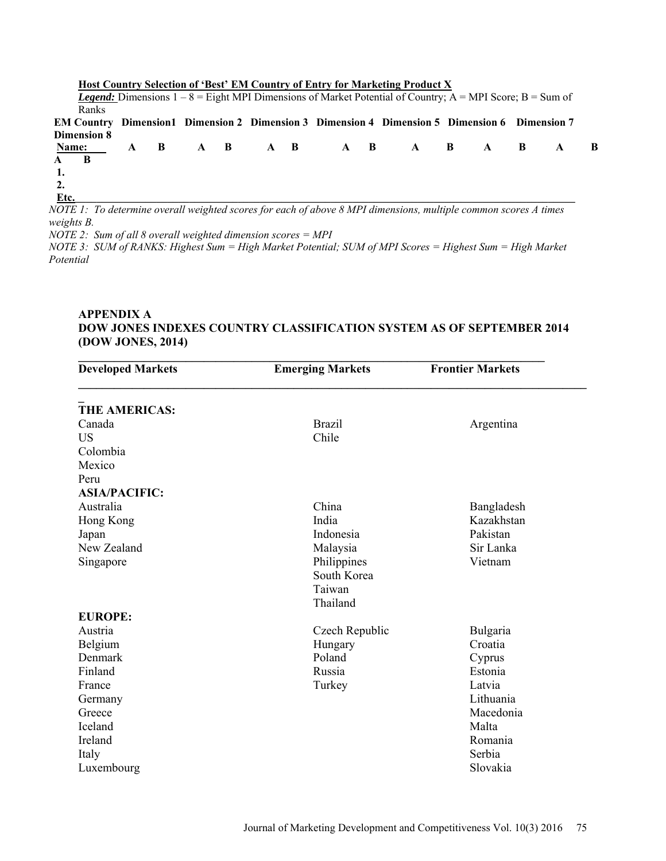|                    |  |  |  |  | Host Country Selection of 'Best' EM Country of Entry for Marketing Product X                                           |  |  |  |
|--------------------|--|--|--|--|------------------------------------------------------------------------------------------------------------------------|--|--|--|
|                    |  |  |  |  | <b>Legend:</b> Dimensions $1 - 8 =$ Eight MPI Dimensions of Market Potential of Country; $A = MPI$ Score; $B = Sum$ of |  |  |  |
| Ranks              |  |  |  |  |                                                                                                                        |  |  |  |
|                    |  |  |  |  | EM Country Dimension1 Dimension 2 Dimension 3 Dimension 4 Dimension 5 Dimension 6 Dimension 7                          |  |  |  |
| <b>Dimension 8</b> |  |  |  |  |                                                                                                                        |  |  |  |
|                    |  |  |  |  | Name: A B A B A B A B A B A B A B                                                                                      |  |  |  |
| A B                |  |  |  |  |                                                                                                                        |  |  |  |
| 1.                 |  |  |  |  |                                                                                                                        |  |  |  |
| 2.                 |  |  |  |  |                                                                                                                        |  |  |  |
| Etc.               |  |  |  |  |                                                                                                                        |  |  |  |
|                    |  |  |  |  |                                                                                                                        |  |  |  |

*NOTE 1: To determine overall weighted scores for each of above 8 MPI dimensions, multiple common scores A times weights B.* 

*NOTE 2: Sum of all 8 overall weighted dimension scores = MPI* 

*NOTE 3: SUM of RANKS: Highest Sum = High Market Potential; SUM of MPI Scores = Highest Sum = High Market Potential* 

# **APPENDIX A DOW JONES INDEXES COUNTRY CLASSIFICATION SYSTEM AS OF SEPTEMBER 2014 (DOW JONES, 2014)**

| <b>Developed Markets</b> | <b>Emerging Markets</b> | <b>Frontier Markets</b> |  |  |
|--------------------------|-------------------------|-------------------------|--|--|
| <b>THE AMERICAS:</b>     |                         |                         |  |  |
| Canada                   | <b>Brazil</b>           | Argentina               |  |  |
| US                       | Chile                   |                         |  |  |
| Colombia                 |                         |                         |  |  |
| Mexico                   |                         |                         |  |  |
| Peru                     |                         |                         |  |  |
| <b>ASIA/PACIFIC:</b>     |                         |                         |  |  |
| Australia                | China                   | Bangladesh              |  |  |
| Hong Kong                | India                   | Kazakhstan              |  |  |
| Japan                    | Indonesia               | Pakistan                |  |  |
| New Zealand              | Malaysia                | Sir Lanka               |  |  |
| Singapore                | Philippines             | Vietnam                 |  |  |
|                          | South Korea             |                         |  |  |
|                          | Taiwan                  |                         |  |  |
|                          | Thailand                |                         |  |  |
| <b>EUROPE:</b>           |                         |                         |  |  |
| Austria                  | Czech Republic          | Bulgaria                |  |  |
| Belgium                  | Hungary                 | Croatia                 |  |  |
| Denmark                  | Poland                  | Cyprus                  |  |  |
| Finland                  | Russia                  | Estonia                 |  |  |
| France                   | Turkey                  | Latvia                  |  |  |
| Germany                  |                         | Lithuania               |  |  |
| Greece                   |                         | Macedonia               |  |  |
| Iceland                  |                         | Malta                   |  |  |
| Ireland                  |                         | Romania                 |  |  |
| Italy                    |                         | Serbia                  |  |  |
| Luxembourg               |                         | Slovakia                |  |  |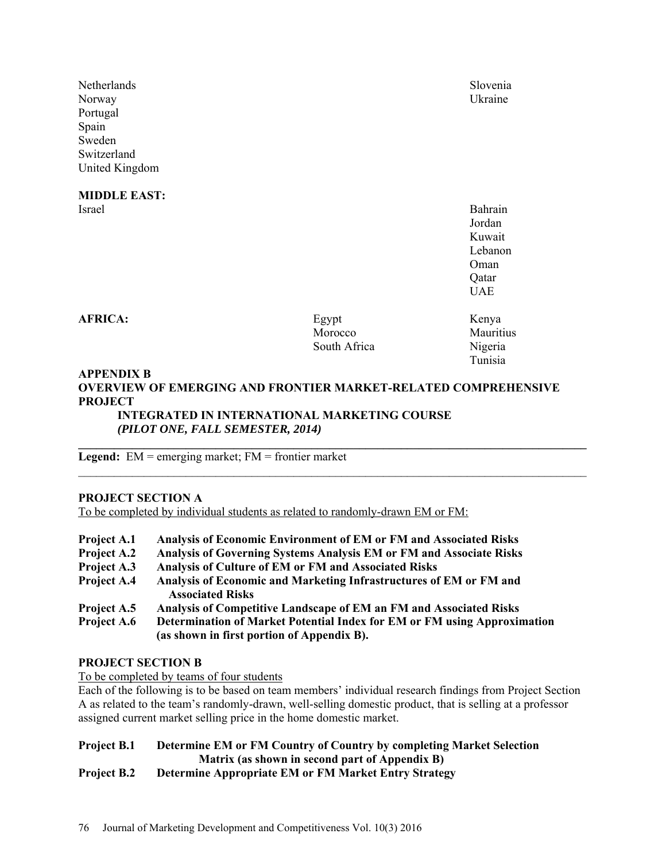Netherlands Slovenia Norway Ukraine Portugal Spain Sweden Switzerland United Kingdom

**MIDDLE EAST:**  Israel Bahrain

**AFRICA:** Egypt Kenya Morocco Mauritius South Africa Nigeria

Tunisia

# **APPENDIX B OVERVIEW OF EMERGING AND FRONTIER MARKET-RELATED COMPREHENSIVE PROJECT**

**\_\_\_\_\_\_\_\_\_\_\_\_\_\_\_\_\_\_\_\_\_\_\_\_\_\_\_\_\_\_\_\_\_\_\_\_\_\_\_\_\_\_\_\_\_\_\_\_\_\_\_\_\_\_\_\_\_\_\_\_\_\_\_\_\_\_\_\_\_\_\_\_\_\_\_\_\_\_\_\_\_\_\_\_\_** 

 $\_$ 

**INTEGRATED IN INTERNATIONAL MARKETING COURSE**  *(PILOT ONE, FALL SEMESTER, 2014)* 

 Jordan Kuwait Lebanon Oman Oman Changes Company of the Company of the Company of the Company of the Company of the Company of the Company of the Company of the Company of the Company of the Company of the Company of the Company of the Company o Qatar UAE

**Legend:** EM = emerging market; FM = frontier market

# **PROJECT SECTION A**

To be completed by individual students as related to randomly-drawn EM or FM:

| Project A.1        | Analysis of Economic Environment of EM or FM and Associated Risks                                                      |
|--------------------|------------------------------------------------------------------------------------------------------------------------|
| <b>Project A.2</b> | Analysis of Governing Systems Analysis EM or FM and Associate Risks                                                    |
| Project A.3        | <b>Analysis of Culture of EM or FM and Associated Risks</b>                                                            |
| Project A.4        | Analysis of Economic and Marketing Infrastructures of EM or FM and                                                     |
|                    | <b>Associated Risks</b>                                                                                                |
| Project A.5        | Analysis of Competitive Landscape of EM an FM and Associated Risks                                                     |
| Project A.6        | Determination of Market Potential Index for EM or FM using Approximation<br>(as shown in first portion of Appendix B). |

# **PROJECT SECTION B**

To be completed by teams of four students

Each of the following is to be based on team members' individual research findings from Project Section A as related to the team's randomly-drawn, well-selling domestic product, that is selling at a professor assigned current market selling price in the home domestic market.

# **Project B.1 Determine EM or FM Country of Country by completing Market Selection Matrix (as shown in second part of Appendix B)**

# **Project B.2 Determine Appropriate EM or FM Market Entry Strategy**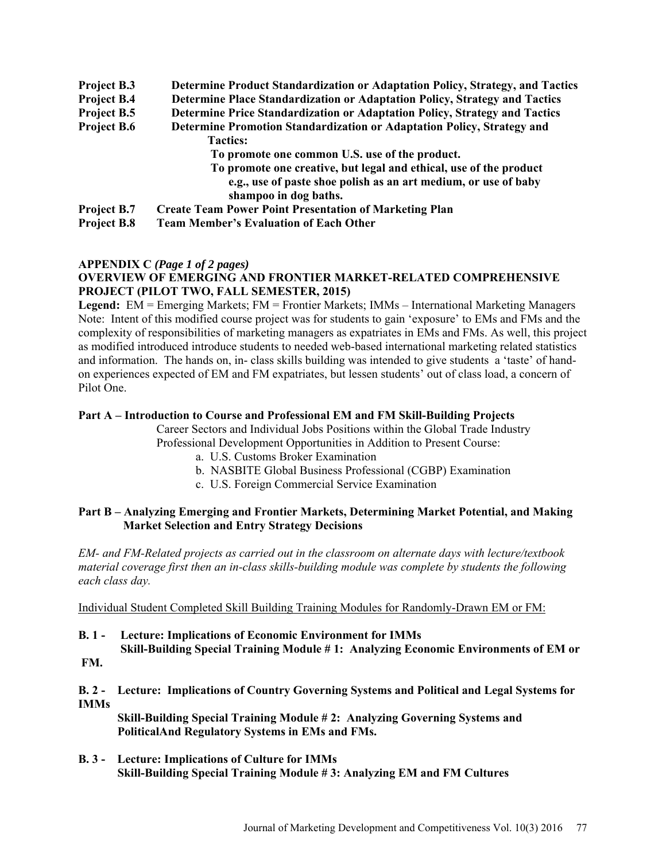**Project B.3 Determine Product Standardization or Adaptation Policy, Strategy, and Tactics Project B.4 Determine Place Standardization or Adaptation Policy, Strategy and Tactics Project B.5 Determine Price Standardization or Adaptation Policy, Strategy and Tactics Project B.6 Determine Promotion Standardization or Adaptation Policy, Strategy and Tactics: To promote one common U.S. use of the product. To promote one creative, but legal and ethical, use of the product e.g., use of paste shoe polish as an art medium, or use of baby shampoo in dog baths. Project B.7 Create Team Power Point Presentation of Marketing Plan Project B.8 Team Member's Evaluation of Each Other** 

## **APPENDIX C** *(Page 1 of 2 pages)*

# **OVERVIEW OF EMERGING AND FRONTIER MARKET-RELATED COMPREHENSIVE PROJECT (PILOT TWO, FALL SEMESTER, 2015)**

**Legend:** EM = Emerging Markets; FM = Frontier Markets; IMMs – International Marketing Managers Note: Intent of this modified course project was for students to gain 'exposure' to EMs and FMs and the complexity of responsibilities of marketing managers as expatriates in EMs and FMs. As well, this project as modified introduced introduce students to needed web-based international marketing related statistics and information. The hands on, in- class skills building was intended to give students a 'taste' of handon experiences expected of EM and FM expatriates, but lessen students' out of class load, a concern of Pilot One.

## **Part A – Introduction to Course and Professional EM and FM Skill-Building Projects**

Career Sectors and Individual Jobs Positions within the Global Trade Industry

Professional Development Opportunities in Addition to Present Course:

- a. U.S. Customs Broker Examination
- b. NASBITE Global Business Professional (CGBP) Examination
- c. U.S. Foreign Commercial Service Examination

# **Part B – Analyzing Emerging and Frontier Markets, Determining Market Potential, and Making Market Selection and Entry Strategy Decisions**

*EM- and FM-Related projects as carried out in the classroom on alternate days with lecture/textbook material coverage first then an in-class skills-building module was complete by students the following each class day.* 

Individual Student Completed Skill Building Training Modules for Randomly-Drawn EM or FM:

- **B. 1 Lecture: Implications of Economic Environment for IMMs Skill-Building Special Training Module # 1: Analyzing Economic Environments of EM or**
- **FM.**

**B. 2 - Lecture: Implications of Country Governing Systems and Political and Legal Systems for IMMs** 

**Skill-Building Special Training Module # 2: Analyzing Governing Systems and PoliticalAnd Regulatory Systems in EMs and FMs.** 

**B. 3 - Lecture: Implications of Culture for IMMs Skill-Building Special Training Module # 3: Analyzing EM and FM Cultures**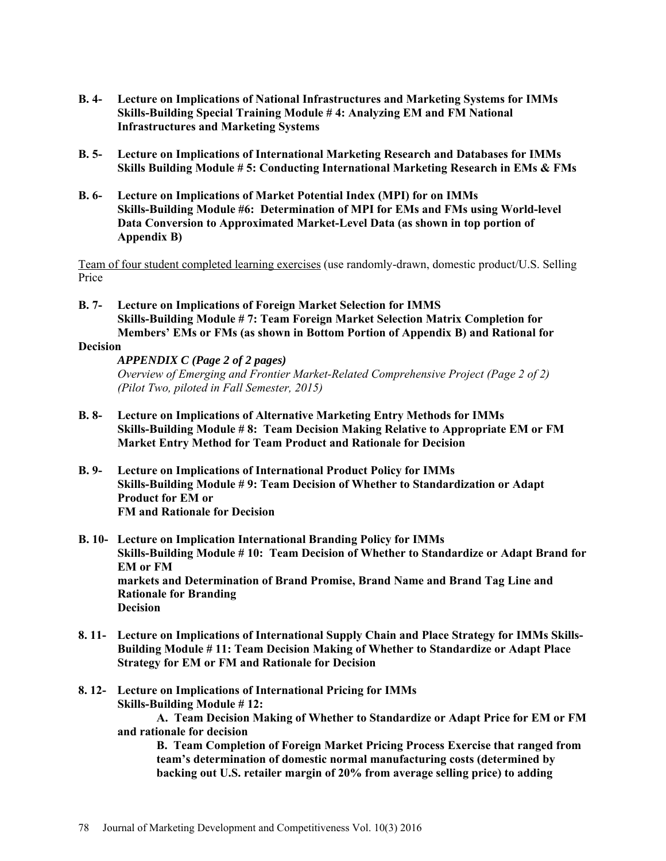- **B. 4- Lecture on Implications of National Infrastructures and Marketing Systems for IMMs Skills-Building Special Training Module # 4: Analyzing EM and FM National Infrastructures and Marketing Systems**
- **B. 5- Lecture on Implications of International Marketing Research and Databases for IMMs Skills Building Module # 5: Conducting International Marketing Research in EMs & FMs**
- **B. 6- Lecture on Implications of Market Potential Index (MPI) for on IMMs Skills-Building Module #6: Determination of MPI for EMs and FMs using World-level Data Conversion to Approximated Market-Level Data (as shown in top portion of Appendix B)**

Team of four student completed learning exercises (use randomly-drawn, domestic product/U.S. Selling Price

**B. 7- Lecture on Implications of Foreign Market Selection for IMMS Skills-Building Module # 7: Team Foreign Market Selection Matrix Completion for Members' EMs or FMs (as shown in Bottom Portion of Appendix B) and Rational for** 

# **Decision**

*APPENDIX C (Page 2 of 2 pages) Overview of Emerging and Frontier Market-Related Comprehensive Project (Page 2 of 2) (Pilot Two, piloted in Fall Semester, 2015)* 

- **B. 8- Lecture on Implications of Alternative Marketing Entry Methods for IMMs Skills-Building Module # 8: Team Decision Making Relative to Appropriate EM or FM Market Entry Method for Team Product and Rationale for Decision**
- **B. 9- Lecture on Implications of International Product Policy for IMMs Skills-Building Module # 9: Team Decision of Whether to Standardization or Adapt Product for EM or FM and Rationale for Decision**
- **B. 10- Lecture on Implication International Branding Policy for IMMs Skills-Building Module # 10: Team Decision of Whether to Standardize or Adapt Brand for EM or FM markets and Determination of Brand Promise, Brand Name and Brand Tag Line and Rationale for Branding Decision**
- **8. 11- Lecture on Implications of International Supply Chain and Place Strategy for IMMs Skills-Building Module # 11: Team Decision Making of Whether to Standardize or Adapt Place Strategy for EM or FM and Rationale for Decision**
- **8. 12- Lecture on Implications of International Pricing for IMMs Skills-Building Module # 12: A. Team Decision Making of Whether to Standardize or Adapt Price for EM or FM and rationale for decision**

**B. Team Completion of Foreign Market Pricing Process Exercise that ranged from team's determination of domestic normal manufacturing costs (determined by backing out U.S. retailer margin of 20% from average selling price) to adding**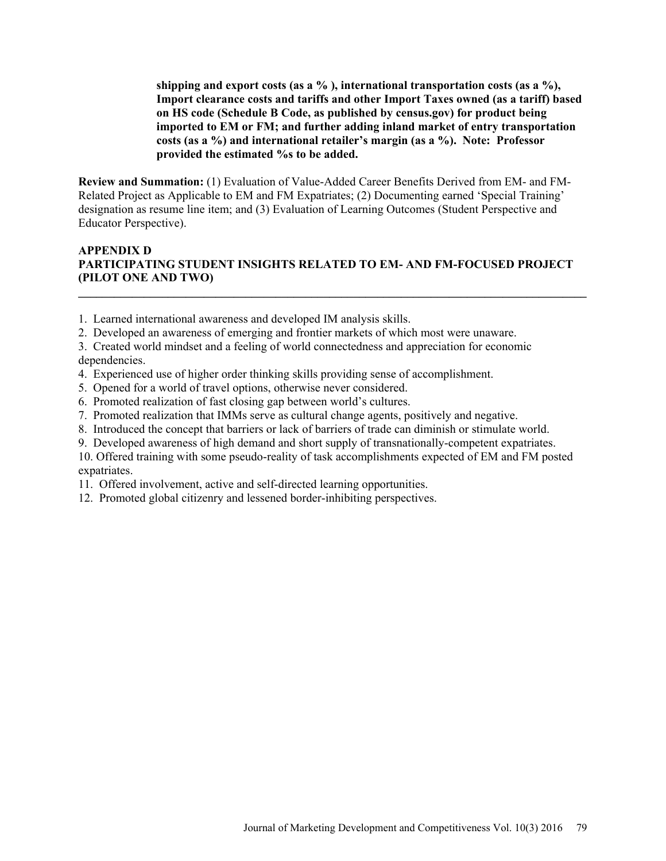**shipping and export costs (as a % ), international transportation costs (as a %), Import clearance costs and tariffs and other Import Taxes owned (as a tariff) based on HS code (Schedule B Code, as published by census.gov) for product being imported to EM or FM; and further adding inland market of entry transportation costs (as a %) and international retailer's margin (as a %). Note: Professor provided the estimated %s to be added.** 

**Review and Summation:** (1) Evaluation of Value-Added Career Benefits Derived from EM- and FM-Related Project as Applicable to EM and FM Expatriates; (2) Documenting earned 'Special Training' designation as resume line item; and (3) Evaluation of Learning Outcomes (Student Perspective and Educator Perspective).

# **APPENDIX D PARTICIPATING STUDENT INSIGHTS RELATED TO EM- AND FM-FOCUSED PROJECT (PILOT ONE AND TWO)**

**\_\_\_\_\_\_\_\_\_\_\_\_\_\_\_\_\_\_\_\_\_\_\_\_\_\_\_\_\_\_\_\_\_\_\_\_\_\_\_\_\_\_\_\_\_\_\_\_\_\_\_\_\_\_\_\_\_\_\_\_\_\_\_\_\_\_\_\_\_\_\_\_\_\_\_\_\_\_\_\_\_\_\_\_\_** 

- 1. Learned international awareness and developed IM analysis skills.
- 2. Developed an awareness of emerging and frontier markets of which most were unaware.

3. Created world mindset and a feeling of world connectedness and appreciation for economic dependencies.

- 4. Experienced use of higher order thinking skills providing sense of accomplishment.
- 5. Opened for a world of travel options, otherwise never considered.
- 6. Promoted realization of fast closing gap between world's cultures.
- 7. Promoted realization that IMMs serve as cultural change agents, positively and negative.
- 8. Introduced the concept that barriers or lack of barriers of trade can diminish or stimulate world.
- 9. Developed awareness of high demand and short supply of transnationally-competent expatriates.
- 10. Offered training with some pseudo-reality of task accomplishments expected of EM and FM posted expatriates.
- 11. Offered involvement, active and self-directed learning opportunities.
- 12. Promoted global citizenry and lessened border-inhibiting perspectives.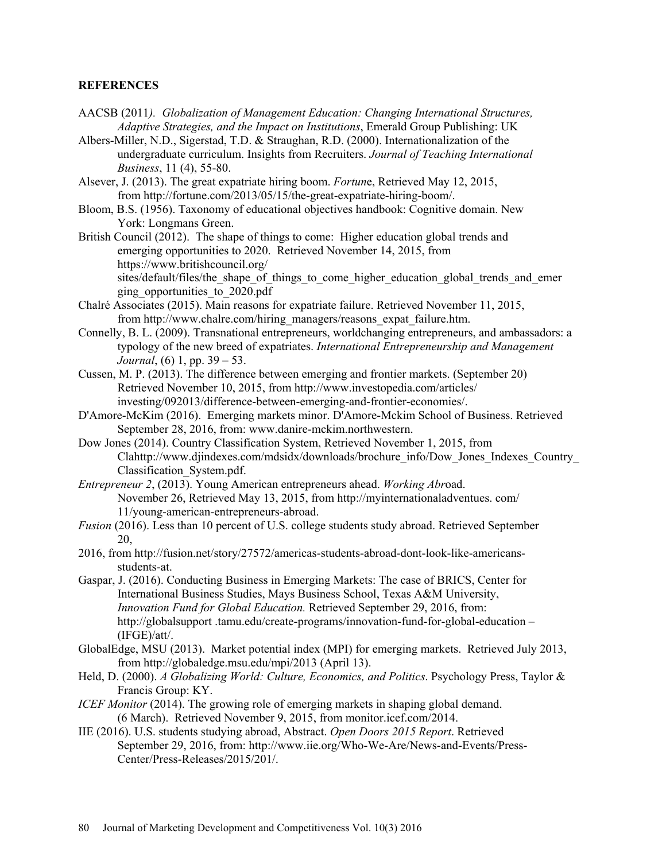# **REFERENCES**

- AACSB (2011*). Globalization of Management Education: Changing International Structures, Adaptive Strategies, and the Impact on Institutions*, Emerald Group Publishing: UK
- Albers-Miller, N.D., Sigerstad, T.D. & Straughan, R.D. (2000). Internationalization of the undergraduate curriculum. Insights from Recruiters. *Journal of Teaching International Business*, 11 (4), 55-80.
- Alsever, J. (2013). The great expatriate hiring boom. *Fortun*e, Retrieved May 12, 2015, from http://fortune.com/2013/05/15/the-great-expatriate-hiring-boom/.
- Bloom, B.S. (1956). Taxonomy of educational objectives handbook: Cognitive domain. New York: Longmans Green.
- British Council (2012). The shape of things to come: Higher education global trends and emerging opportunities to 2020. Retrieved November 14, 2015, from https://www.britishcouncil.org/ sites/default/files/the\_shape\_of\_things\_to\_come\_higher\_education\_global\_trends\_and\_emer

ging\_opportunities\_to\_2020.pdf

- Chalré Associates (2015). Main reasons for expatriate failure. Retrieved November 11, 2015, from http://www.chalre.com/hiring\_managers/reasons\_expat\_failure.htm.
- Connelly, B. L. (2009). Transnational entrepreneurs, worldchanging entrepreneurs, and ambassadors: a typology of the new breed of expatriates. *International Entrepreneurship and Management Journal*, (6) 1, pp. 39 – 53.
- Cussen, M. P. (2013). The difference between emerging and frontier markets. (September 20) Retrieved November 10, 2015, from http://www.investopedia.com/articles/ investing/092013/difference-between-emerging-and-frontier-economies/.
- D'Amore-McKim (2016). Emerging markets minor. D'Amore-Mckim School of Business. Retrieved September 28, 2016, from: www.danire-mckim.northwestern.
- Dow Jones (2014). Country Classification System, Retrieved November 1, 2015, from Clahttp://www.djindexes.com/mdsidx/downloads/brochure\_info/Dow\_Jones\_Indexes\_Country\_ Classification\_System.pdf.
- *Entrepreneur 2*, (2013). Young American entrepreneurs ahead. *Working Abr*oad. November 26, Retrieved May 13, 2015, from http://myinternationaladventues. com/ 11/young-american-entrepreneurs-abroad.
- *Fusion* (2016). Less than 10 percent of U.S. college students study abroad. Retrieved September 20,
- 2016, from http://fusion.net/story/27572/americas-students-abroad-dont-look-like-americansstudents-at.
- Gaspar, J. (2016). Conducting Business in Emerging Markets: The case of BRICS, Center for International Business Studies, Mays Business School, Texas A&M University, *Innovation Fund for Global Education.* Retrieved September 29, 2016, from: http://globalsupport .tamu.edu/create-programs/innovation-fund-for-global-education – (IFGE)/att/.
- GlobalEdge, MSU (2013). Market potential index (MPI) for emerging markets. Retrieved July 2013, from http://globaledge.msu.edu/mpi/2013 (April 13).
- Held, D. (2000). *A Globalizing World: Culture, Economics, and Politics*. Psychology Press, Taylor & Francis Group: KY.
- *ICEF Monitor* (2014). The growing role of emerging markets in shaping global demand. (6 March). Retrieved November 9, 2015, from monitor.icef.com/2014.
- IIE (2016). U.S. students studying abroad, Abstract. *Open Doors 2015 Report*. Retrieved September 29, 2016, from: http://www.iie.org/Who-We-Are/News-and-Events/Press-Center/Press-Releases/2015/201/.